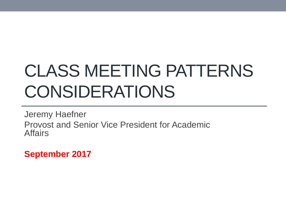# CLASS MEETING PATTERNS CONSIDERATIONS

Jeremy Haefner Provost and Senior Vice President for Academic **Affairs** 

**September 2017**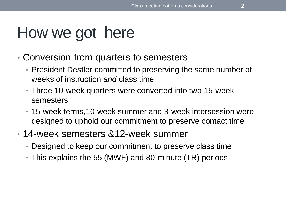### How we got here

- Conversion from quarters to semesters
	- President Destler committed to preserving the same number of weeks of instruction *and* class time
	- Three 10-week quarters were converted into two 15-week semesters
	- 15-week terms,10-week summer and 3-week intersession were designed to uphold our commitment to preserve contact time
- 14-week semesters &12-week summer
	- Designed to keep our commitment to preserve class time
	- This explains the 55 (MWF) and 80-minute (TR) periods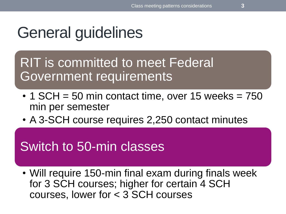## General guidelines

RIT is committed to meet Federal Government requirements

- $\cdot$  1 SCH = 50 min contact time, over 15 weeks = 750 min per semester
- A 3-SCH course requires 2,250 contact minutes

#### Switch to 50-min classes

• Will require 150-min final exam during finals week for 3 SCH courses; higher for certain 4 SCH courses, lower for < 3 SCH courses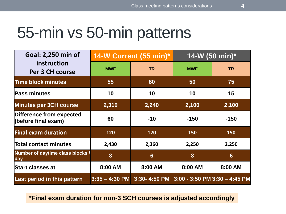#### 55-min vs 50-min patterns

| Goal: 2,250 min of                              | 14-W Current (55 min)* |                 | 14-W (50 min)* |                                            |
|-------------------------------------------------|------------------------|-----------------|----------------|--------------------------------------------|
| instruction<br>Per 3 CH course                  | <b>MWF</b>             | <b>TR</b>       | <b>MWF</b>     | <b>TR</b>                                  |
| <b>Time block minutes</b>                       | 55                     | 80              | 50             | 75                                         |
| Pass minutes                                    | 10                     | 10              | 10             | 15                                         |
| <b>Minutes per 3CH course</b>                   | 2,310                  | 2,240           | 2,100          | 2,100                                      |
| Difference from expected<br>(before final exam) | 60                     | $-10$           | $-150$         | $-150$                                     |
| <b>Final exam duration</b>                      | 120                    | 120             | 150            | 150                                        |
| Total contact minutes                           | 2,430                  | 2,360           | 2,250          | 2,250                                      |
| Number of daytime class blocks /<br>day         | 8                      | $6\phantom{1}6$ | 8              | $6\phantom{1}$                             |
| <b>Start classes at</b>                         | 8:00 AM                | 8:00 AM         | 8:00 AM        | 8:00 AM                                    |
| Last period in this pattern                     | $3:35 - 4:30$ PM       |                 |                | 3:30-4:50 PM 3:00 - 3:50 PM 3:30 - 4:45 PM |

**\*Final exam duration for non-3 SCH courses is adjusted accordingly**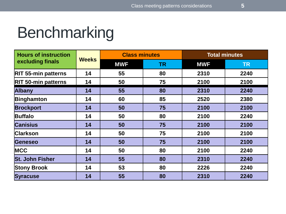#### Benchmarking

| <b>Hours of instruction</b><br>excluding finals | <b>Weeks</b> | <b>Class minutes</b> |           | <b>Total minutes</b> |           |
|-------------------------------------------------|--------------|----------------------|-----------|----------------------|-----------|
|                                                 |              | <b>MWF</b>           | <b>TR</b> | <b>MWF</b>           | <b>TR</b> |
| <b>RIT 55-min patterns</b>                      | 14           | 55                   | 80        | 2310                 | 2240      |
| <b>RIT 50-min patterns</b>                      | 14           | 50                   | 75        | 2100                 | 2100      |
| <b>Albany</b>                                   | 14           | 55                   | 80        | 2310                 | 2240      |
| Binghamton                                      | 14           | 60                   | 85        | 2520                 | 2380      |
| <b>Brockport</b>                                | 14           | 50                   | 75        | 2100                 | 2100      |
| <b>Buffalo</b>                                  | 14           | 50                   | 80        | 2100                 | 2240      |
| <b>Canisius</b>                                 | 14           | 50                   | 75        | 2100                 | 2100      |
| <b>Clarkson</b>                                 | 14           | 50                   | 75        | 2100                 | 2100      |
| Geneseo                                         | 14           | 50                   | 75        | 2100                 | 2100      |
| <b>MCC</b>                                      | 14           | 50                   | 80        | 2100                 | 2240      |
| <b>St. John Fisher</b>                          | 14           | 55                   | 80        | 2310                 | 2240      |
| <b>Stony Brook</b>                              | 14           | 53                   | 80        | 2226                 | 2240      |
| <b>Syracuse</b>                                 | 14           | 55                   | 80        | 2310                 | 2240      |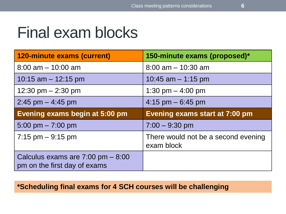#### Final exam blocks

| 120-minute exams (current)            | 150-minute exams (proposed)*                      |
|---------------------------------------|---------------------------------------------------|
| $8:00$ am $-10:00$ am                 | $8:00$ am $-10:30$ am                             |
| 10:15 am $-$ 12:15 pm                 | 10:45 am $-$ 1:15 pm                              |
| 12:30 pm $-$ 2:30 pm                  | 1:30 pm $-$ 4:00 pm                               |
| $2:45$ pm $-4:45$ pm                  | 4:15 pm $-6:45$ pm                                |
|                                       |                                                   |
| <b>Evening exams begin at 5:00 pm</b> | Evening exams start at 7:00 pm                    |
| $5:00 \text{ pm} - 7:00 \text{ pm}$   | $7:00 - 9:30$ pm                                  |
| $7:15$ pm $-9:15$ pm                  | There would not be a second evening<br>exam block |

#### **\*Scheduling final exams for 4 SCH courses will be challenging**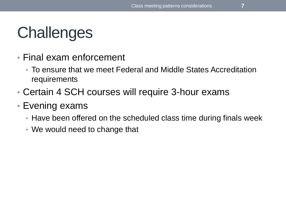# **Challenges**

- Final exam enforcement
	- To ensure that we meet Federal and Middle States Accreditation requirements
- Certain 4 SCH courses will require 3-hour exams
- Evening exams
	- Have been offered on the scheduled class time during finals week
	- We would need to change that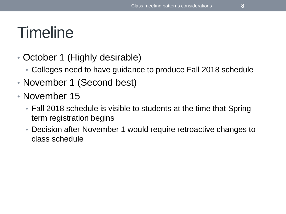## **Timeline**

- October 1 (Highly desirable)
	- Colleges need to have guidance to produce Fall 2018 schedule
- November 1 (Second best)
- November 15
	- Fall 2018 schedule is visible to students at the time that Spring term registration begins
	- Decision after November 1 would require retroactive changes to class schedule